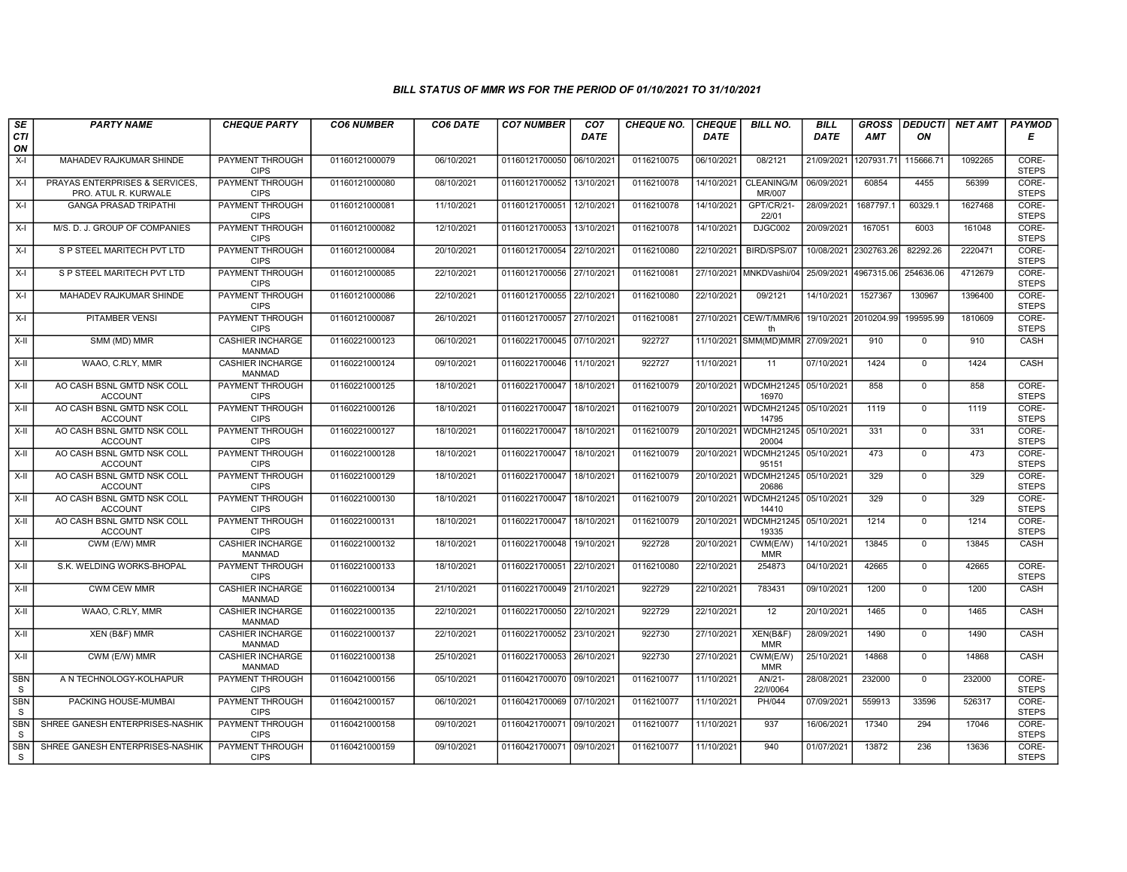## BILL STATUS OF MMR WS FOR THE PERIOD OF 01/10/2021 TO 31/10/2021

| SE                         | <b>PARTY NAME</b>                                      | <b>CHEQUE PARTY</b>                      | <b>CO6 NUMBER</b> | CO6 DATE   | <b>CO7 NUMBER</b>         | CO7         | <b>CHEQUE NO.</b> | <b>CHEQUE</b> | <b>BILL NO.</b>                  | <b>BILL</b> | <b>GROSS</b>          | <b>DEDUCTI</b> | <b>NET AMT</b> | PAYMOD                |
|----------------------------|--------------------------------------------------------|------------------------------------------|-------------------|------------|---------------------------|-------------|-------------------|---------------|----------------------------------|-------------|-----------------------|----------------|----------------|-----------------------|
| <b>CTI</b><br>ON           |                                                        |                                          |                   |            |                           | <b>DATE</b> |                   | <b>DATE</b>   |                                  | DATE        | <b>AMT</b>            | ON             |                | Е                     |
| $X-I$                      | MAHADEV RAJKUMAR SHINDE                                | <b>PAYMENT THROUGH</b><br><b>CIPS</b>    | 01160121000079    | 06/10/2021 | 01160121700050            | 06/10/2021  | 0116210075        | 06/10/2021    | 08/2121                          | 21/09/2021  | 1207931.7             | 115666.71      | 1092265        | CORE-<br><b>STEPS</b> |
| $X-I$                      | PRAYAS ENTERPRISES & SERVICES.<br>PRO. ATUL R. KURWALE | <b>PAYMENT THROUGH</b><br><b>CIPS</b>    | 01160121000080    | 08/10/2021 | 01160121700052 13/10/2021 |             | 0116210078        | 14/10/2021    | <b>CLEANING/M</b><br>MR/007      | 06/09/2021  | 60854                 | 4455           | 56399          | CORE-<br><b>STEPS</b> |
| X-I                        | <b>GANGA PRASAD TRIPATHI</b>                           | PAYMENT THROUGH<br><b>CIPS</b>           | 01160121000081    | 11/10/2021 | 01160121700051            | 12/10/2021  | 0116210078        | 14/10/2021    | GPT/CR/21-<br>22/01              | 28/09/2021  | 1687797.1             | 60329.1        | 1627468        | CORE-<br><b>STEPS</b> |
| $X-I$                      | M/S. D. J. GROUP OF COMPANIES                          | <b>PAYMENT THROUGH</b><br><b>CIPS</b>    | 01160121000082    | 12/10/2021 | 01160121700053            | 13/10/2021  | 0116210078        | 14/10/2021    | DJGC002                          | 20/09/2021  | 167051                | 6003           | 161048         | CORE-<br><b>STEPS</b> |
| $X-I$                      | S P STEEL MARITECH PVT LTD                             | <b>PAYMENT THROUGH</b><br><b>CIPS</b>    | 01160121000084    | 20/10/2021 | 01160121700054 22/10/2021 |             | 0116210080        | 22/10/2021    | BIRD/SPS/07                      |             | 10/08/2021 2302763.26 | 82292.26       | 2220471        | CORE-<br><b>STEPS</b> |
| X-I                        | S P STEEL MARITECH PVT LTD                             | <b>PAYMENT THROUGH</b><br><b>CIPS</b>    | 01160121000085    | 22/10/2021 | 01160121700056 27/10/2021 |             | 0116210081        |               | 27/10/2021 MNKDVashi/04          |             | 25/09/2021 4967315.06 | 254636.06      | 4712679        | CORE-<br><b>STEPS</b> |
| $X-I$                      | MAHADEV RAJKUMAR SHINDE                                | <b>PAYMENT THROUGH</b><br><b>CIPS</b>    | 01160121000086    | 22/10/2021 | 01160121700055            | 22/10/202   | 0116210080        | 22/10/2021    | 09/2121                          | 14/10/2021  | 1527367               | 130967         | 1396400        | CORE-<br><b>STEPS</b> |
| X-I                        | PITAMBER VENSI                                         | PAYMENT THROUGH<br><b>CIPS</b>           | 01160121000087    | 26/10/2021 | 01160121700057            | 27/10/202   | 0116210081        | 27/10/2021    | CEW/T/MMR/6<br>th                | 19/10/2021  | 2010204.99            | 199595.99      | 1810609        | CORE-<br><b>STEPS</b> |
| $X-H$                      | SMM (MD) MMR                                           | <b>CASHIER INCHARGE</b><br><b>MANMAD</b> | 01160221000123    | 06/10/2021 | 01160221700045 07/10/2021 |             | 922727            |               | 11/10/2021 SMM(MD)MMR 27/09/2021 |             | 910                   | $\overline{0}$ | 910            | <b>CASH</b>           |
| X-II                       | WAAO, C.RLY, MMR                                       | <b>CASHIER INCHARGE</b><br><b>MANMAD</b> | 01160221000124    | 09/10/2021 | 01160221700046 11/10/2021 |             | 922727            | 11/10/2021    | 11                               | 07/10/2021  | 1424                  | $\Omega$       | 1424           | <b>CASH</b>           |
| X-II                       | AO CASH BSNL GMTD NSK COLL<br><b>ACCOUNT</b>           | <b>PAYMENT THROUGH</b><br><b>CIPS</b>    | 01160221000125    | 18/10/2021 | 01160221700047            | 18/10/2021  | 0116210079        |               | 20/10/2021 WDCMH21245<br>16970   | 05/10/2021  | 858                   | $\mathbf 0$    | 858            | CORE-<br><b>STEPS</b> |
| X-II                       | AO CASH BSNL GMTD NSK COLL<br><b>ACCOUNT</b>           | <b>PAYMENT THROUGH</b><br><b>CIPS</b>    | 01160221000126    | 18/10/2021 | 01160221700047            | 18/10/202   | 0116210079        | 20/10/2021    | WDCMH21245 05/10/2021<br>14795   |             | 1119                  | $\mathbf 0$    | 1119           | CORE-<br><b>STEPS</b> |
| X-II                       | AO CASH BSNL GMTD NSK COLL<br><b>ACCOUNT</b>           | <b>PAYMENT THROUGH</b><br><b>CIPS</b>    | 01160221000127    | 18/10/2021 | 01160221700047            | 18/10/202   | 0116210079        | 20/10/2021    | <b>WDCMH21245</b><br>20004       | 05/10/2021  | 331                   | $\mathbf 0$    | 331            | CORE-<br><b>STEPS</b> |
| $X-H$                      | AO CASH BSNL GMTD NSK COLL<br><b>ACCOUNT</b>           | <b>PAYMENT THROUGH</b><br><b>CIPS</b>    | 01160221000128    | 18/10/2021 | 01160221700047            | 18/10/2021  | 0116210079        | 20/10/2021    | WDCMH21245 05/10/2021<br>95151   |             | 473                   | $\overline{0}$ | 473            | CORE-<br><b>STEPS</b> |
| X-II                       | AO CASH BSNL GMTD NSK COLL<br><b>ACCOUNT</b>           | PAYMENT THROUGH<br><b>CIPS</b>           | 01160221000129    | 18/10/2021 | 01160221700047            | 18/10/2021  | 0116210079        |               | 20/10/2021   WDCMH21245<br>20686 | 05/10/2021  | 329                   | $\Omega$       | 329            | CORE-<br><b>STEPS</b> |
| X-II                       | AO CASH BSNL GMTD NSK COLL<br><b>ACCOUNT</b>           | <b>PAYMENT THROUGH</b><br><b>CIPS</b>    | 01160221000130    | 18/10/2021 | 01160221700047            | 18/10/2021  | 0116210079        | 20/10/2021    | WDCMH21245 05/10/2021<br>14410   |             | 329                   | $\overline{0}$ | 329            | CORE-<br><b>STEPS</b> |
| X-II                       | AO CASH BSNL GMTD NSK COLL<br><b>ACCOUNT</b>           | <b>PAYMENT THROUGH</b><br><b>CIPS</b>    | 01160221000131    | 18/10/2021 | 01160221700047            | 18/10/2021  | 0116210079        | 20/10/2021    | WDCMH21245 05/10/2021<br>19335   |             | 1214                  | $\mathbf 0$    | 1214           | CORE-<br><b>STEPS</b> |
| X-II                       | CWM (E/W) MMR                                          | <b>CASHIER INCHARGE</b><br><b>MANMAD</b> | 01160221000132    | 18/10/2021 | 01160221700048            | 19/10/2021  | 922728            | 20/10/2021    | CWM(E/W)<br><b>MMR</b>           | 14/10/2021  | 13845                 | $\mathbf 0$    | 13845          | CASH                  |
| $X-II$                     | S.K. WELDING WORKS-BHOPAL                              | <b>PAYMENT THROUGH</b><br><b>CIPS</b>    | 01160221000133    | 18/10/2021 | 01160221700051            | 22/10/2021  | 0116210080        | 22/10/2021    | 254873                           | 04/10/2021  | 42665                 | $\Omega$       | 42665          | CORE-<br><b>STEPS</b> |
| $X-H$                      | <b>CWM CEW MMR</b>                                     | <b>CASHIER INCHARGE</b><br><b>MANMAD</b> | 01160221000134    | 21/10/2021 | 01160221700049 21/10/2021 |             | 922729            | 22/10/2021    | 783431                           | 09/10/2021  | 1200                  | $\mathbf 0$    | 1200           | CASH                  |
| $X-II$                     | WAAO, C.RLY, MMR                                       | <b>CASHIER INCHARGE</b><br><b>MANMAD</b> | 01160221000135    | 22/10/2021 | 01160221700050            | 22/10/2021  | 922729            | 22/10/2021    | 12                               | 20/10/2021  | 1465                  | $\overline{0}$ | 1465           | CASH                  |
| X-II                       | XEN (B&F) MMR                                          | <b>CASHIER INCHARGE</b><br><b>MANMAD</b> | 01160221000137    | 22/10/2021 | 01160221700052 23/10/2021 |             | 922730            | 27/10/2021    | $XEN(B\&F)$<br><b>MMR</b>        | 28/09/2021  | 1490                  | $\mathbf 0$    | 1490           | CASH                  |
| $X-II$                     | CWM (E/W) MMR                                          | <b>CASHIER INCHARGE</b><br><b>MANMAD</b> | 01160221000138    | 25/10/2021 | 01160221700053 26/10/2021 |             | 922730            | 27/10/2021    | CWM(E/W)<br><b>MMR</b>           | 25/10/2021  | 14868                 | $\mathbf 0$    | 14868          | CASH                  |
| <b>SBN</b><br>S            | A N TECHNOLOGY-KOLHAPUR                                | <b>PAYMENT THROUGH</b><br><b>CIPS</b>    | 01160421000156    | 05/10/2021 | 01160421700070 09/10/2021 |             | 0116210077        | 11/10/2021    | AN/21-<br>22/I/0064              | 28/08/2021  | 232000                | $\overline{0}$ | 232000         | CORE-<br><b>STEPS</b> |
| <b>SBN</b><br><sub>S</sub> | PACKING HOUSE-MUMBAI                                   | <b>PAYMENT THROUGH</b><br><b>CIPS</b>    | 01160421000157    | 06/10/2021 | 01160421700069 07/10/202  |             | 0116210077        | 11/10/2021    | PH/044                           | 07/09/2021  | 559913                | 33596          | 526317         | CORE-<br><b>STEPS</b> |
| <b>SBN</b><br><sub>S</sub> | SHREE GANESH ENTERPRISES-NASHIK                        | <b>PAYMENT THROUGH</b><br><b>CIPS</b>    | 01160421000158    | 09/10/2021 | 01160421700071 09/10/2021 |             | 0116210077        | 11/10/2021    | 937                              | 16/06/2021  | 17340                 | 294            | 17046          | CORE-<br><b>STEPS</b> |
| <b>SBN</b><br><sub>S</sub> | SHREE GANESH ENTERPRISES-NASHIK                        | <b>PAYMENT THROUGH</b><br><b>CIPS</b>    | 01160421000159    | 09/10/2021 | 01160421700071 09/10/2021 |             | 0116210077        | 11/10/2021    | 940                              | 01/07/2021  | 13872                 | 236            | 13636          | CORE-<br><b>STEPS</b> |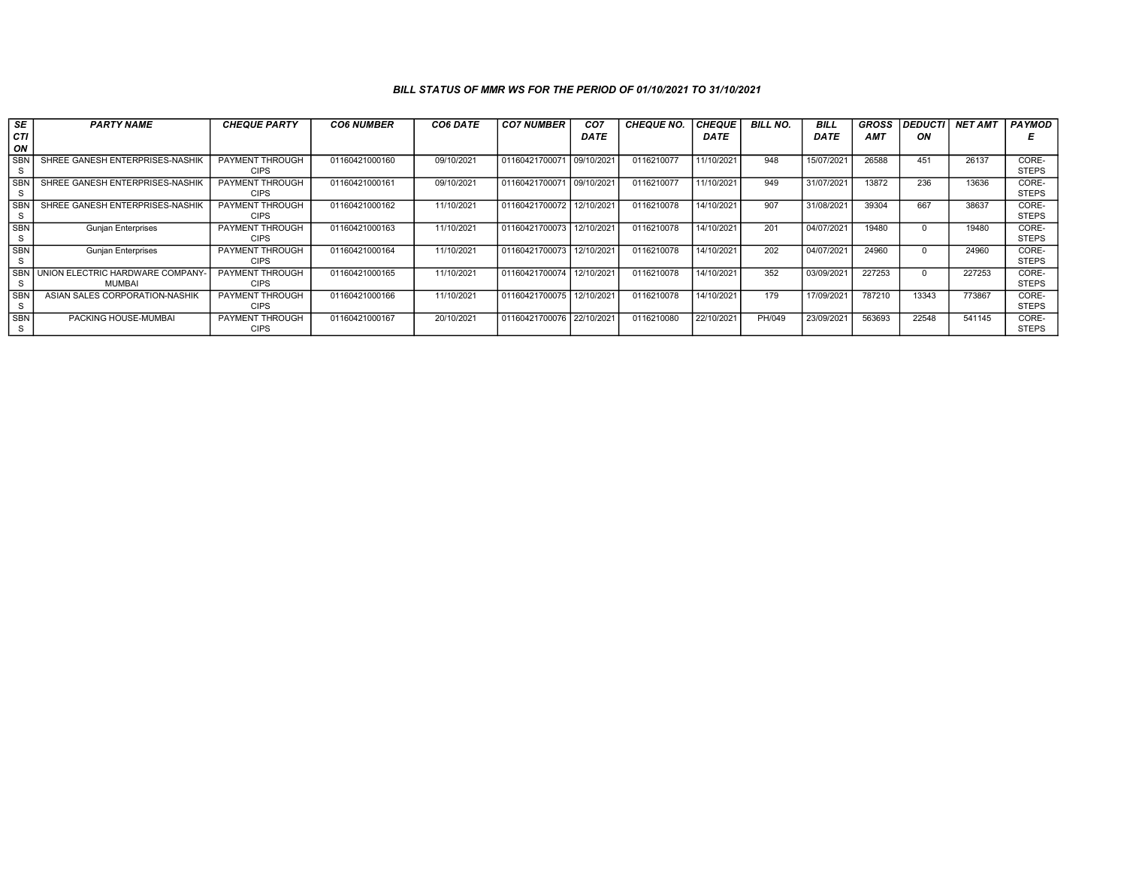## BILL STATUS OF MMR WS FOR THE PERIOD OF 01/10/2021 TO 31/10/2021

| SE         | <b>PARTY NAME</b>               | <b>CHEQUE PARTY</b>    | <b>CO6 NUMBER</b> | CO6 DATE   | <b>CO7 NUMBER</b>         | CO <sub>7</sub>        | <b>CHEQUE NO.</b> | <b>CHEQUE</b> | <b>BILL NO.</b> | <b>BILL</b> | <b>GROSS</b> | <b>DEDUCTI</b> | <b>NET AMT</b> | <b>PAYMOD</b> |
|------------|---------------------------------|------------------------|-------------------|------------|---------------------------|------------------------|-------------------|---------------|-----------------|-------------|--------------|----------------|----------------|---------------|
| CТI        |                                 |                        |                   |            |                           | <b>DATE</b>            |                   | DATE          |                 | <b>DATE</b> | <b>AMT</b>   | ON             |                |               |
| ON         |                                 |                        |                   |            |                           |                        |                   |               |                 |             |              |                |                |               |
| <b>SBN</b> | SHREE GANESH ENTERPRISES-NASHIK | PAYMENT THROUGH        | 01160421000160    | 09/10/2021 | 01160421700071 09/10/202  |                        | 0116210077        | 11/10/2021    | 948             | 15/07/2021  | 26588        | 451            | 26137          | CORE-         |
|            |                                 | <b>CIPS</b>            |                   |            |                           |                        |                   |               |                 |             |              |                |                | <b>STEPS</b>  |
| <b>SBN</b> | SHREE GANESH ENTERPRISES-NASHIK | PAYMENT THROUGH        | 01160421000161    | 09/10/2021 | 01160421700071 09/10/2021 |                        | 0116210077        | 11/10/2021    | 949             | 31/07/2021  | 13872        | 236            | 13636          | CORE-         |
|            |                                 | <b>CIPS</b>            |                   |            |                           |                        |                   |               |                 |             |              |                |                | <b>STEPS</b>  |
| <b>SBN</b> | SHREE GANESH ENTERPRISES-NASHIK | PAYMENT THROUGH        | 01160421000162    | 11/10/2021 | 01160421700072            | 12/10/2021             | 0116210078        | 14/10/2021    | 907             | 31/08/2021  | 39304        | 667            | 38637          | CORE-         |
| s          |                                 | <b>CIPS</b>            |                   |            |                           |                        |                   |               |                 |             |              |                |                | <b>STEPS</b>  |
| <b>SBN</b> | <b>Gunjan Enterprises</b>       | PAYMENT THROUGH        | 01160421000163    | 11/10/2021 | 01160421700073            | 12/10/2021             | 0116210078        | 14/10/2021    | 201             | 04/07/2021  | 19480        |                | 19480          | CORE-         |
| s          |                                 | <b>CIPS</b>            |                   |            |                           |                        |                   |               |                 |             |              |                |                | <b>STEPS</b>  |
| <b>SBN</b> | <b>Gunjan Enterprises</b>       | PAYMENT THROUGH        | 01160421000164    | 11/10/2021 | 01160421700073            | 12/10/2021             | 0116210078        | 14/10/2021    | 202             | 04/07/2021  | 24960        |                | 24960          | CORE-         |
|            |                                 | <b>CIPS</b>            |                   |            |                           |                        |                   |               |                 |             |              |                |                | <b>STEPS</b>  |
| <b>SBN</b> | UNION ELECTRIC HARDWARE COMPANY | PAYMENT THROUGH        | 01160421000165    | 11/10/2021 | 01160421700074            | 12/10/2021             | 0116210078        | 14/10/2021    | 352             | 03/09/2021  | 227253       |                | 227253         | CORE-         |
|            | <b>MUMBAI</b>                   | <b>CIPS</b>            |                   |            |                           |                        |                   |               |                 |             |              |                |                | <b>STEPS</b>  |
| <b>SBN</b> | ASIAN SALES CORPORATION-NASHIK  | <b>PAYMENT THROUGH</b> | 01160421000166    | 11/10/2021 | 01160421700075            | 12/10/202 <sup>-</sup> | 0116210078        | 14/10/2021    | 179             | 17/09/2021  | 787210       | 13343          | 773867         | CORE-         |
| -S         |                                 | <b>CIPS</b>            |                   |            |                           |                        |                   |               |                 |             |              |                |                | <b>STEPS</b>  |
| <b>SBN</b> | PACKING HOUSE-MUMBAI            | <b>PAYMENT THROUGH</b> | 01160421000167    | 20/10/2021 | 01160421700076 22/10/2021 |                        | 0116210080        | 22/10/2021    | PH/049          | 23/09/2021  | 563693       | 22548          | 541145         | CORE-         |
| S.         |                                 | <b>CIPS</b>            |                   |            |                           |                        |                   |               |                 |             |              |                |                | <b>STEPS</b>  |